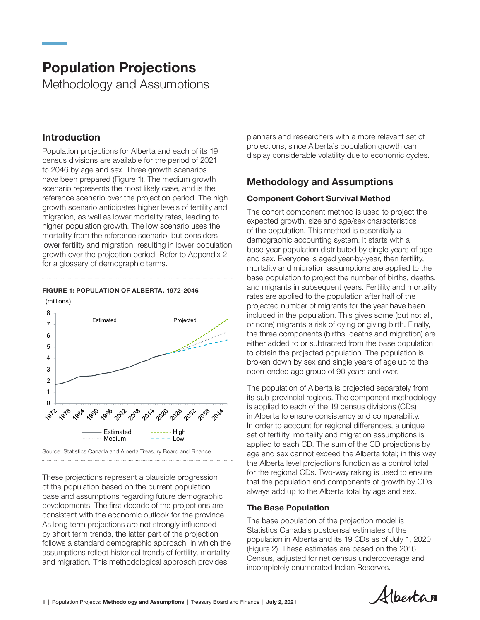# Population Projections

Methodology and Assumptions

## Introduction

higher population growth. The low scenario uses the<br>nearthlite from the unfances acceptive last acceptive 2021-2046 lower fertility and migration, resulting in lower population growth over the projection period. Refer to Appendix 2 and sex Fyer for a glossary of demographic terms. Population projections for Alberta and each of its 19 census divisions are available for the period of 2021 to 2046 by age and sex. Three growth scenarios have been prepared (Figure 1). The medium growth scenario represents the most likely case, and is the reference scenario over the projection period. The high growth scenario anticipates higher levels of fertility and migration, as well as lower mortality rates, leading to mortality from the reference scenario, but considers

## (millions) FIGURE 1: POPULATION OF ALBERTA, 1972-2046



Source: Statistics Canada and Alberta Treasury Board and Finance

chronology projections represent a practition progression<br>of the population based on the current population These projections represent a plausible progression base and assumptions regarding future demographic developments. The first decade of the projections are consistent with the economic outlook for the province. As long term projections are not strongly influenced by short term trends, the latter part of the projection follows a standard demographic approach, in which the assumptions reflect historical trends of fertility, mortality and migration. This methodological approach provides

planners and researchers with a more relevant set of projections, since Alberta's population growth can display considerable volatility due to economic cycles.

## Methodology and Assumptions

## Component Cohort Survival Method

The cohort component method is used to project the expected growth, size and age/sex characteristics of the population. This method is essentially a demographic accounting system. It starts with a base-year population distributed by single years of age and sex. Everyone is aged year-by-year, then fertility, mortality and migration assumptions are applied to the base population to project the number of births, deaths, and migrants in subsequent years. Fertility and mortality rates are applied to the population after half of the projected number of migrants for the year have been included in the population. This gives some (but not all, or none) migrants a risk of dying or giving birth. Finally, the three components (births, deaths and migration) are either added to or subtracted from the base population to obtain the projected population. The population is broken down by sex and single years of age up to the open-ended age group of 90 years and over.

The population of Alberta is projected separately from its sub-provincial regions. The component methodology is applied to each of the 19 census divisions (CDs) in Alberta to ensure consistency and comparability. In order to account for regional differences, a unique set of fertility, mortality and migration assumptions is applied to each CD. The sum of the CD projections by age and sex cannot exceed the Alberta total; in this way the Alberta level projections function as a control total for the regional CDs. Two-way raking is used to ensure that the population and components of growth by CDs always add up to the Alberta total by age and sex.

## The Base Population

The base population of the projection model is Statistics Canada's postcensal estimates of the population in Alberta and its 19 CDs as of July 1, 2020 (Figure 2). These estimates are based on the 2016 Census, adjusted for net census undercoverage and incompletely enumerated Indian Reserves.

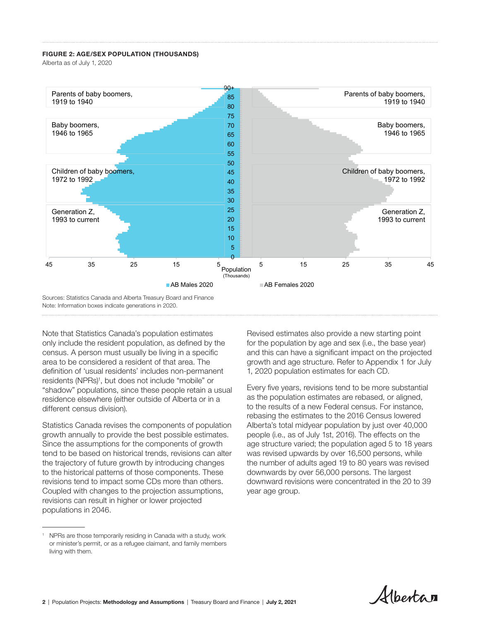#### FIGURE 2: AGE/SEX POPULATION (THOUSANDS)

Alberta as of July 1, 2020



only include the resident population, as defined by the census. A person must usually be living in a specific residence elsewhere (either outside of Alberta or in a  $\qquad$  as the population estimates are rebased, or aligned, different census division). Note that Statistics Canada's population estimates area to be considered a resident of that area. The definition of 'usual residents' includes non-permanent residents (NPRs)<sup>1</sup>, but does not include "mobile" or "shadow" populations, since these people retain a usual residence elsewhere (either outside of Alberta or in a

Statistics Canada revises the components of population growth annually to provide the best possible estimates. Since the assumptions for the components of growth tend to be based on historical trends, revisions can alter the trajectory of future growth by introducing changes to the historical patterns of those components. These revisions tend to impact some CDs more than others. Coupled with changes to the projection assumptions, revisions can result in higher or lower projected populations in 2046.

and this can have a significant impact on the projected Revised estimates also provide a new starting point for the population by age and sex (i.e., the base year) growth and age structure. Refer to Appendix 1 for July 1, 2020 population estimates for each CD.

Every five years, revisions tend to be more substantial to the results of a new Federal census. For instance, rebasing the estimates to the 2016 Census lowered Alberta's total midyear population by just over 40,000 people (i.e., as of July 1st, 2016). The effects on the age structure varied; the population aged 5 to 18 years was revised upwards by over 16,500 persons, while the number of adults aged 19 to 80 years was revised downwards by over 56,000 persons. The largest downward revisions were concentrated in the 20 to 39 year age group.

Albertan

<sup>&</sup>lt;sup>1</sup> NPRs are those temporarily residing in Canada with a study, work or minister's permit, or as a refugee claimant, and family members living with them.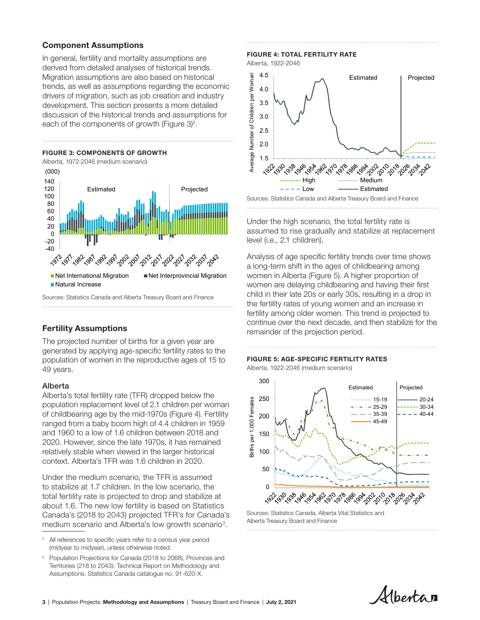## Component Assumptions

In general, fertility and mortality assumptions are derived from detailed analyses of historical trends. Migration assumptions are also based on historical trends, as well as assumptions regarding the economic drivers of migration, such as job creation and industry development. This section presents a more detailed discussion of the historical trends and assumptions for each of the components of growth (Figure  $3$ )<sup>2</sup>.



### Fertility Assumptions

The projected number of births for a given year are generated by applying age-specific fertility rates to the population of women in the reproductive ages of 15 to 49 years.

#### Alberta

Alberta's total fertility rate (TFR) dropped below the population replacement level of 2.1 children per woman of childbearing age by the mid-1970s (Figure 4). Fertility ranged from a baby boom high of 4.4 children in 1959 and 1960 to a low of 1.6 children between 2018 and 2020. However, since the late 1970s, it has remained relatively stable when viewed in the larger historical context. Alberta's TFR was 1.6 children in 2020.

Under the medium scenario, the TFR is assumed to stabilize at 1.7 children. In the low scenario, the total fertility rate is projected to drop and stabilize at about 1.6. The new low fertility is based on Statistics Canada's (2018 to 2043) projected TFR's for Canada's medium scenario and Alberta's low growth scenario<sup>3</sup>.



<sup>&</sup>lt;sup>3</sup> Population Projections for Canada (2018 to 2068), Provinces and Territories (218 to 2043): Technical Report on Methodology and Assumptions. Statistics Canada catalogue no. 91-620-X.

#### FIGURE 4: TOTAL FERTILITY RATE

Alberta, 1922-2046



Under the high scenario, the total fertility rate is assumed to rise gradually and stabilize at replacement level (i.e., 2.1 children).

Analysis of age specific fertility trends over time shows a long-term shift in the ages of childbearing among women in Alberta (Figure 5). A higher proportion of women are delaying childbearing and having their first child in their late 20s or early 30s, resulting in a drop in the fertility rates of young women and an increase in fertility among older women. This trend is projected to continue over the next decade, and then stabilize for the remainder of the projection period.

 $\mathcal{L}_{\text{intra}}$  ,  $\mathcal{L}_{\text{intra}}$  ,  $\mathcal{L}_{\text{intra}}$  ,  $\mathcal{L}_{\text{intra}}$  ,  $\mathcal{L}_{\text{intra}}$  ,  $\mathcal{L}_{\text{intra}}$  ,  $\mathcal{L}_{\text{intra}}$  ,  $\mathcal{L}_{\text{intra}}$  ,  $\mathcal{L}_{\text{intra}}$  ,  $\mathcal{L}_{\text{intra}}$  ,  $\mathcal{L}_{\text{intra}}$  ,  $\mathcal{L}_{\text{intra}}$  ,  $\mathcal{L}_{\text{intra}}$  ,

## **FIGURE 5: AGE-SPECIFIC FERTILITY RATES**

Alberta, 1922-2046 (medium scenario)



Sources: Statistics Canada, Alberta Vital Statistics and Alberta Treasury Board and Finance

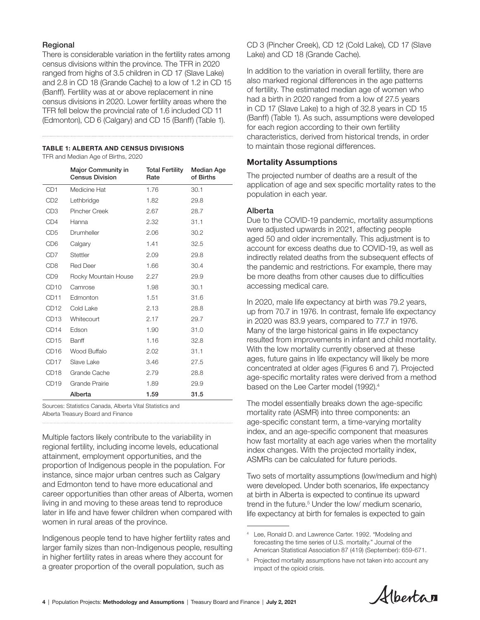## Regional

There is considerable variation in the fertility rates among census divisions within the province. The TFR in 2020 ranged from highs of 3.5 children in CD 17 (Slave Lake) and 2.8 in CD 18 (Grande Cache) to a low of 1.2 in CD 15 (Banff). Fertility was at or above replacement in nine census divisions in 2020. Lower fertility areas where the TFR fell below the provincial rate of 1.6 included CD 11 (Edmonton), CD 6 (Calgary) and CD 15 (Banff) (Table 1).

#### TABLE 1: ALBERTA AND CENSUS DIVISIONS

TFR and Median Age of Births, 2020

|                             | <b>Major Community in</b><br><b>Census Division</b> | <b>Total Fertility</b><br>Rate | <b>Median Age</b><br>of Births |
|-----------------------------|-----------------------------------------------------|--------------------------------|--------------------------------|
| CD <sub>1</sub>             | Medicine Hat                                        | 1.76                           | 30.1                           |
| C <sub>D</sub> <sub>2</sub> | Lethbridge                                          | 1.82                           | 29.8                           |
| CD <sub>3</sub>             | Pincher Creek                                       | 2.67                           | 28.7                           |
| CD <sub>4</sub>             | Hanna                                               | 2.32                           | 31.1                           |
| CD <sub>5</sub>             | Drumheller                                          | 2.06                           | 30.2                           |
| CD <sub>6</sub>             | Calgary                                             | 1.41                           | 32.5                           |
| CD7                         | Stettler                                            | 2.09                           | 29.8                           |
| CD <sub>8</sub>             | <b>Red Deer</b>                                     | 1.66                           | 30.4                           |
| CD <sub>9</sub>             | Rocky Mountain House                                | 2.27                           | 29.9                           |
| CD <sub>10</sub>            | Camrose                                             | 1.98                           | 30.1                           |
| CD <sub>11</sub>            | Edmonton                                            | 1.51                           | 31.6                           |
| CD <sub>12</sub>            | Cold Lake                                           | 2.13                           | 28.8                           |
| CD <sub>13</sub>            | Whitecourt                                          | 2.17                           | 29.7                           |
| CD <sub>14</sub>            | Edson                                               | 1.90                           | 31.0                           |
| CD <sub>15</sub>            | Banff                                               | 1.16                           | 32.8                           |
| CD <sub>16</sub>            | Wood Buffalo                                        | 2.02                           | 31.1                           |
| CD <sub>17</sub>            | Slave Lake                                          | 3.46                           | 27.5                           |
| CD <sub>18</sub>            | Grande Cache                                        | 2.79                           | 28.8                           |
| CD <sub>19</sub>            | Grande Prairie                                      | 1.89                           | 29.9                           |
|                             | Alberta                                             | 1.59                           | 31.5                           |

Sources: Statistics Canada, Alberta Vital Statistics and Alberta Treasury Board and Finance

Multiple factors likely contribute to the variability in regional fertility, including income levels, educational attainment, employment opportunities, and the proportion of Indigenous people in the population. For instance, since major urban centres such as Calgary and Edmonton tend to have more educational and career opportunities than other areas of Alberta, women living in and moving to these areas tend to reproduce later in life and have fewer children when compared with women in rural areas of the province.

Indigenous people tend to have higher fertility rates and larger family sizes than non-Indigenous people, resulting in higher fertility rates in areas where they account for a greater proportion of the overall population, such as

CD 3 (Pincher Creek), CD 12 (Cold Lake), CD 17 (Slave Lake) and CD 18 (Grande Cache).

In addition to the variation in overall fertility, there are also marked regional differences in the age patterns of fertility. The estimated median age of women who had a birth in 2020 ranged from a low of 27.5 years in CD 17 (Slave Lake) to a high of 32.8 years in CD 15 (Banff) (Table 1). As such, assumptions were developed for each region according to their own fertility characteristics, derived from historical trends, in order to maintain those regional differences.

## Mortality Assumptions

The projected number of deaths are a result of the application of age and sex specific mortality rates to the population in each year.

## Alberta

Due to the COVID-19 pandemic, mortality assumptions were adjusted upwards in 2021, affecting people aged 50 and older incrementally. This adjustment is to account for excess deaths due to COVID-19, as well as indirectly related deaths from the subsequent effects of the pandemic and restrictions. For example, there may be more deaths from other causes due to difficulties accessing medical care.

In 2020, male life expectancy at birth was 79.2 years, up from 70.7 in 1976. In contrast, female life expectancy in 2020 was 83.9 years, compared to 77.7 in 1976. Many of the large historical gains in life expectancy resulted from improvements in infant and child mortality. With the low mortality currently observed at these ages, future gains in life expectancy will likely be more concentrated at older ages (Figures 6 and 7). Projected age-specific mortality rates were derived from a method based on the Lee Carter model (1992).<sup>4</sup>

The model essentially breaks down the age-specific mortality rate (ASMR) into three components: an age-specific constant term, a time-varying mortality index, and an age-specific component that measures how fast mortality at each age varies when the mortality index changes. With the projected mortality index, ASMRs can be calculated for future periods.

Two sets of mortality assumptions (low/medium and high) were developed. Under both scenarios, life expectancy at birth in Alberta is expected to continue its upward trend in the future.<sup>5</sup> Under the low/ medium scenario, life expectancy at birth for females is expected to gain

<sup>5</sup> Projected mortality assumptions have not taken into account any impact of the opioid crisis.



<sup>4</sup> Lee, Ronald D. and Lawrence Carter. 1992. "Modeling and forecasting the time series of U.S. mortality." Journal of the American Statistical Association 87 (419) (September): 659-671.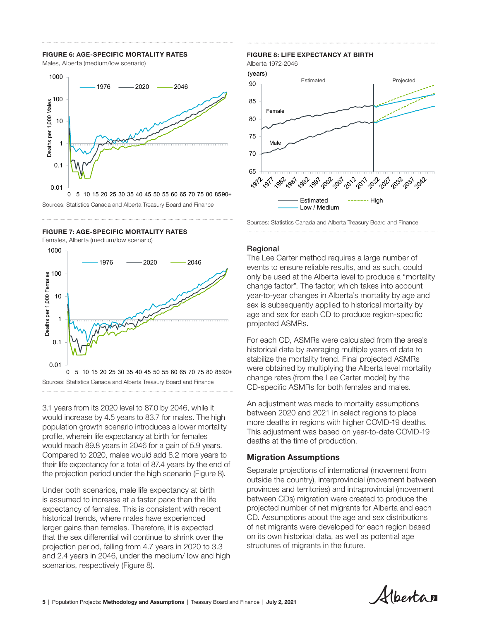## FIGURE 6: AGE-SPECIFIC MORTALITY RATES

Males, Alberta (medium/low scenario)



Sources: Statistics Canada and Alberta Treasury Board and Finance

## FIGURE 7: AGE-SPECIFIC MORTALITY RATES

Females, Alberta (medium/low scenario)

2021-2046



3.1 years from its 2020 level to 87.0 by 2046, while it would increase by 4.5 years to 83.7 for males. The high population growth scenario introduces a lower mortality more displaced to the Canada and Alberta Treasury Board profile, wherein life expectancy at birth for females would reach 89.8 years in 2046 for a gain of 5.9 years. Compared to 2020, males would add 8.2 more years to their life expectancy for a total of 87.4 years by the end of the projection period under the high scenario (Figure 8).

Under both scenarios, male life expectancy at birth is assumed to increase at a faster pace than the life expectancy of females. This is consistent with recent historical trends, where males have experienced larger gains than females. Therefore, it is expected that the sex differential will continue to shrink over the projection period, falling from 4.7 years in 2020 to 3.3 and 2.4 years in 2046, under the medium/ low and high scenarios, respectively (Figure 8).

## Figure 8: Life Expectancy at Birth (1972-2046) FIGURE 8: LIFE EXPECTANCY AT BIRTH

Alberta 1972-2046



Sources: Statistics Canada and Alberta Treasury Board and Finance

#### Regional

The Lee Carter method requires a large number of events to ensure reliable results, and as such, could only be used at the Alberta level to produce a "mortality change factor". The factor, which takes into account year-to-year changes in Alberta's mortality by age and sex is subsequently applied to historical mortality by age and sex for each CD to produce region-specific projected ASMRs.

For each CD, ASMRs were calculated from the area's historical data by averaging multiple years of data to stabilize the mortality trend. Final projected ASMRs were obtained by multiplying the Alberta level mortality change rates (from the Lee Carter model) by the CD-specific ASMRs for both females and males.

An adjustment was made to mortality assumptions between 2020 and 2021 in select regions to place more deaths in regions with higher COVID-19 deaths. This adjustment was based on year-to-date COVID-19 deaths at the time of production.

### Migration Assumptions

Separate projections of international (movement from outside the country), interprovincial (movement between provinces and territories) and intraprovincial (movement between CDs) migration were created to produce the projected number of net migrants for Alberta and each CD. Assumptions about the age and sex distributions of net migrants were developed for each region based on its own historical data, as well as potential age structures of migrants in the future.

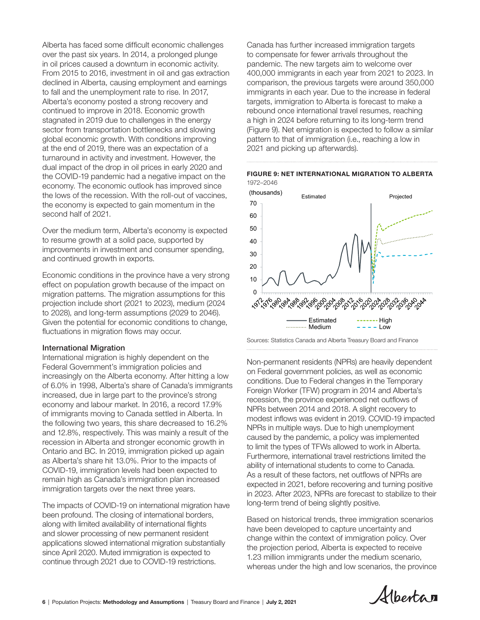Alberta has faced some difficult economic challenges over the past six years. In 2014, a prolonged plunge in oil prices caused a downturn in economic activity. From 2015 to 2016, investment in oil and gas extraction declined in Alberta, causing employment and earnings to fall and the unemployment rate to rise. In 2017, Alberta's economy posted a strong recovery and continued to improve in 2018. Economic growth stagnated in 2019 due to challenges in the energy sector from transportation bottlenecks and slowing global economic growth. With conditions improving at the end of 2019, there was an expectation of a turnaround in activity and investment. However, the dual impact of the drop in oil prices in early 2020 and the COVID-19 pandemic had a negative impact on the economy. The economic outlook has improved since the lows of the recession. With the roll-out of vaccines, the economy is expected to gain momentum in the second half of 2021.

Over the medium term, Alberta's economy is expected to resume growth at a solid pace, supported by improvements in investment and consumer spending, and continued growth in exports.

Economic conditions in the province have a very strong effect on population growth because of the impact on migration patterns. The migration assumptions for this projection include short (2021 to 2023), medium (2024 to 2028), and long-term assumptions (2029 to 2046). Given the potential for economic conditions to change, fluctuations in migration flows may occur.

#### International Migration

International migration is highly dependent on the Federal Government's immigration policies and increasingly on the Alberta economy. After hitting a low of 6.0% in 1998, Alberta's share of Canada's immigrants increased, due in large part to the province's strong economy and labour market. In 2016, a record 17.9% of immigrants moving to Canada settled in Alberta. In the following two years, this share decreased to 16.2% and 12.8%, respectively. This was mainly a result of the recession in Alberta and stronger economic growth in Ontario and BC. In 2019, immigration picked up again as Alberta's share hit 13.0%. Prior to the impacts of COVID-19, immigration levels had been expected to remain high as Canada's immigration plan increased immigration targets over the next three years.

The impacts of COVID-19 on international migration have been profound. The closing of international borders, along with limited availability of international flights and slower processing of new permanent resident applications slowed international migration substantially since April 2020. Muted immigration is expected to continue through 2021 due to COVID-19 restrictions.

Canada has further increased immigration targets to compensate for fewer arrivals throughout the pandemic. The new targets aim to welcome over 400,000 immigrants in each year from 2021 to 2023. In comparison, the previous targets were around 350,000 immigrants in each year. Due to the increase in federal targets, immigration to Alberta is forecast to make a rebound once international travel resumes, reaching a high in 2024 before returning to its long-term trend (Figure 9). Net emigration is expected to follow a similar  $\frac{1}{2}$  and the position of immediately considered to  $\frac{1}{2}$ pattern to that of immigration (i.e., reaching a low in pattern to that or immigration (i.e.,<br>2021 and picking up afterwards).





Sources: Statistics Canada and Alberta Treasury Board and Finance

Non-permanent residents (NPRs) are heavily dependent on Federal government policies, as well as economic conditions. Due to Federal changes in the Temporary Foreign Worker (TFW) program in 2014 and Alberta's recession, the province experienced net outflows of NPRs between 2014 and 2018. A slight recovery to modest inflows was evident in 2019. COVID-19 impacted NPRs in multiple ways. Due to high unemployment caused by the pandemic, a policy was implemented to limit the types of TFWs allowed to work in Alberta. Furthermore, international travel restrictions limited the ability of international students to come to Canada. As a result of these factors, net outflows of NPRs are expected in 2021, before recovering and turning positive in 2023. After 2023, NPRs are forecast to stabilize to their long-term trend of being slightly positive.

Based on historical trends, three immigration scenarios have been developed to capture uncertainty and change within the context of immigration policy. Over the projection period, Alberta is expected to receive 1.23 million immigrants under the medium scenario, whereas under the high and low scenarios, the province

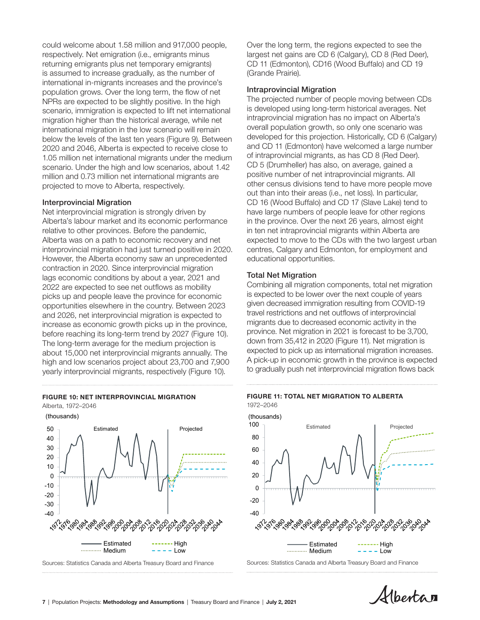could welcome about 1.58 million and 917,000 people, respectively. Net emigration (i.e., emigrants minus returning emigrants plus net temporary emigrants) is assumed to increase gradually, as the number of international in-migrants increases and the province's population grows. Over the long term, the flow of net NPRs are expected to be slightly positive. In the high scenario, immigration is expected to lift net international migration higher than the historical average, while net international migration in the low scenario will remain below the levels of the last ten years (Figure 9). Between 2020 and 2046, Alberta is expected to receive close to 1.05 million net international migrants under the medium scenario. Under the high and low scenarios, about 1.42 million and 0.73 million net international migrants are projected to move to Alberta, respectively.

### Interprovincial Migration

Net interprovincial migration is strongly driven by Alberta's labour market and its economic performance relative to other provinces. Before the pandemic, Alberta was on a path to economic recovery and net interprovincial migration had just turned positive in 2020. However, the Alberta economy saw an unprecedented contraction in 2020. Since interprovincial migration lags economic conditions by about a year, 2021 and 2022 are expected to see net outflows as mobility picks up and people leave the province for economic opportunities elsewhere in the country. Between 2023 and 2026, net interprovincial migration is expected to increase as economic growth picks up in the province, before reaching its long-term trend by 2027 (Figure 10). The long-term average for the medium projection is about 15,000 net interprovincial migrants annually. The high and low scenarios project about 23,700 and 7,900 yearly interprovincial migrants, respectively (Figure 10). high and low secritation project about 20,000 and 1,000 to gradually push net interprovincial migration flows back yearly interprovincial migration flows back 2021-2046

#### FIGURE 10: NET INTERPROVINCIAL MIGRATION

Alberta, 1972–2046





Sources: Statistics Canada and Alberta Treasury Board and Finance

Over the long term, the regions expected to see the largest net gains are CD 6 (Calgary), CD 8 (Red Deer), CD 11 (Edmonton), CD16 (Wood Buffalo) and CD 19 (Grande Prairie).

#### Intraprovincial Migration

The projected number of people moving between CDs is developed using long-term historical averages. Net intraprovincial migration has no impact on Alberta's overall population growth, so only one scenario was developed for this projection. Historically, CD 6 (Calgary) and CD 11 (Edmonton) have welcomed a large number of intraprovincial migrants, as has CD 8 (Red Deer). CD 5 (Drumheller) has also, on average, gained a positive number of net intraprovincial migrants. All other census divisions tend to have more people move out than into their areas (i.e., net loss). In particular, CD 16 (Wood Buffalo) and CD 17 (Slave Lake) tend to have large numbers of people leave for other regions in the province. Over the next 26 years, almost eight in ten net intraprovincial migrants within Alberta are expected to move to the CDs with the two largest urban centres, Calgary and Edmonton, for employment and educational opportunities.

### Total Net Migration

Combining all migration components, total net migration is expected to be lower over the next couple of years given decreased immigration resulting from COVID-19 travel restrictions and net outflows of interprovincial migrants due to decreased economic activity in the province. Net migration in 2021 is forecast to be 3,700, down from 35,412 in 2020 (Figure 11). Net migration is expected to pick up as international migration increases. A pick-up in economic growth in the province is expected





Sources: Statistics Canada and Alberta Treasury Board and Finance

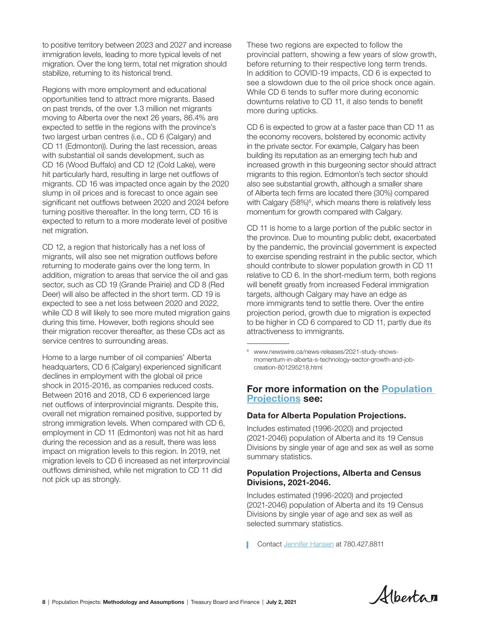to positive territory between 2023 and 2027 and increase immigration levels, leading to more typical levels of net migration. Over the long term, total net migration should stabilize, returning to its historical trend.

Regions with more employment and educational opportunities tend to attract more migrants. Based on past trends, of the over 1.3 million net migrants moving to Alberta over the next 26 years, 86.4% are expected to settle in the regions with the province's two largest urban centres (i.e., CD 6 (Calgary) and CD 11 (Edmonton)). During the last recession, areas with substantial oil sands development, such as CD 16 (Wood Buffalo) and CD 12 (Cold Lake), were hit particularly hard, resulting in large net outflows of migrants. CD 16 was impacted once again by the 2020 slump in oil prices and is forecast to once again see significant net outflows between 2020 and 2024 before turning positive thereafter. In the long term, CD 16 is expected to return to a more moderate level of positive net migration.

CD 12, a region that historically has a net loss of migrants, will also see net migration outflows before returning to moderate gains over the long term. In addition, migration to areas that service the oil and gas sector, such as CD 19 (Grande Prairie) and CD 8 (Red Deer) will also be affected in the short term. CD 19 is expected to see a net loss between 2020 and 2022, while CD 8 will likely to see more muted migration gains during this time. However, both regions should see their migration recover thereafter, as these CDs act as service centres to surrounding areas.

Home to a large number of oil companies' Alberta headquarters, CD 6 (Calgary) experienced significant declines in employment with the global oil price shock in 2015-2016, as companies reduced costs. Between 2016 and 2018, CD 6 experienced large net outflows of interprovincial migrants. Despite this, overall net migration remained positive, supported by strong immigration levels. When compared with CD 6, employment in CD 11 (Edmonton) was not hit as hard during the recession and as a result, there was less impact on migration levels to this region. In 2019, net migration levels to CD 6 increased as net interprovincial outflows diminished, while net migration to CD 11 did not pick up as strongly.

These two regions are expected to follow the provincial pattern, showing a few years of slow growth, before returning to their respective long term trends. In addition to COVID-19 impacts, CD 6 is expected to see a slowdown due to the oil price shock once again. While CD 6 tends to suffer more during economic downturns relative to CD 11, it also tends to benefit more during upticks.

CD 6 is expected to grow at a faster pace than CD 11 as the economy recovers, bolstered by economic activity in the private sector. For example, Calgary has been building its reputation as an emerging tech hub and increased growth in this burgeoning sector should attract migrants to this region. Edmonton's tech sector should also see substantial growth, although a smaller share of Alberta tech firms are located there (30%) compared with Calgary (58%)<sup>6</sup>, which means there is relatively less momentum for growth compared with Calgary.

CD 11 is home to a large portion of the public sector in the province. Due to mounting public debt, exacerbated by the pandemic, the provincial government is expected to exercise spending restraint in the public sector, which should contribute to slower population growth in CD 11 relative to CD 6. In the short-medium term, both regions will benefit greatly from increased Federal immigration targets, although Calgary may have an edge as more immigrants tend to settle there. Over the entire projection period, growth due to migration is expected to be higher in CD 6 compared to CD 11, partly due its attractiveness to immigrants.

## For more information on the [Population](https://www.alberta.ca/population-statistics.aspx#population-projections)  [Projections](https://www.alberta.ca/population-statistics.aspx#population-projections) see:

## Data for Alberta Population Projections.

Includes estimated (1996-2020) and projected (2021-2046) population of Alberta and its 19 Census Divisions by single year of age and sex as well as some summary statistics.

## Population Projections, Alberta and Census Divisions, 2021-2046.

Includes estimated (1996-2020) and projected (2021-2046) population of Alberta and its 19 Census Divisions by single year of age and sex as well as selected summary statistics.

Contact [Jennifer Hansen](mailto:Jennifer.Hansen%40gov.ab.ca?subject=Population%20Projections%3A%20Methodology%20and%20Assumptions%2C%202021-2046) at 780.427.8811



<sup>6</sup> www.newswire.ca/news-releases/2021-study-showsmomentum-in-alberta-s-technology-sector-growth-and-jobcreation-801295218.html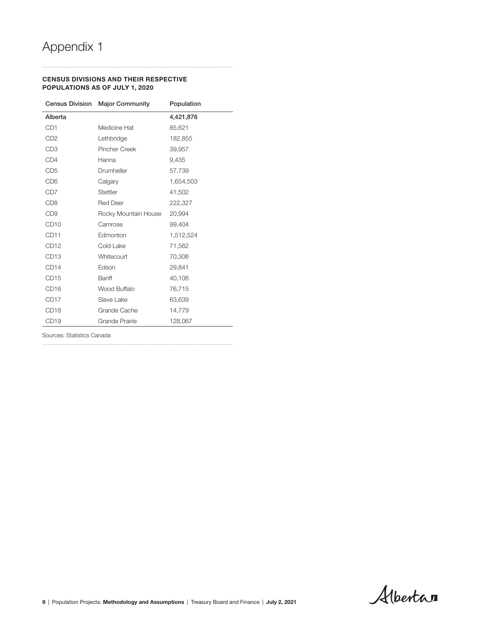#### CENSUS DIVISIONS AND THEIR RESPECTIVE POPULATIONS AS OF JULY 1, 2020

|                  | <b>Census Division Major Community</b> | Population |
|------------------|----------------------------------------|------------|
| Alberta          |                                        | 4,421,876  |
| CD <sub>1</sub>  | Medicine Hat                           | 85,621     |
| CD <sub>2</sub>  | Lethbridge                             | 182,855    |
| CD <sub>3</sub>  | <b>Pincher Creek</b>                   | 39,957     |
| CD4              | Hanna                                  | 9,435      |
| CD <sub>5</sub>  | Drumheller                             | 57,739     |
| CD <sub>6</sub>  | Calgary                                | 1,654,503  |
| CD <sub>7</sub>  | Stettler                               | 41,502     |
| CD <sub>8</sub>  | <b>Red Deer</b>                        | 222,327    |
| CD <sub>9</sub>  | Rocky Mountain House                   | 20,994     |
| CD <sub>10</sub> | Camrose                                | 99,404     |
| CD <sub>11</sub> | Edmonton                               | 1,512,524  |
| CD <sub>12</sub> | Cold Lake                              | 71,562     |
| CD <sub>13</sub> | Whitecourt                             | 70,306     |
| CD14             | Edson                                  | 29,841     |
| CD <sub>15</sub> | Banff                                  | 40,106     |
| CD <sub>16</sub> | Wood Buffalo                           | 76,715     |
| CD <sub>17</sub> | Slave Lake                             | 63,639     |
| CD <sub>18</sub> | Grande Cache                           | 14,779     |
| CD <sub>19</sub> | Grande Prairie                         | 128,067    |

. . . . . . . . .

Sources: Statistics Canada

Albertan